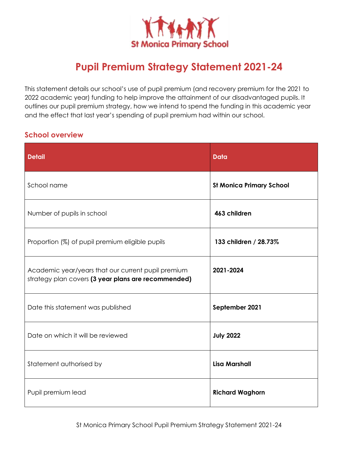

# **Pupil Premium Strategy Statement 2021-24**

This statement details our school's use of pupil premium (and recovery premium for the 2021 to 2022 academic year) funding to help improve the attainment of our disadvantaged pupils. It outlines our pupil premium strategy, how we intend to spend the funding in this academic year and the effect that last year's spending of pupil premium had within our school.

### **School overview**

| <b>Detail</b>                                                                                             | <b>Data</b>                     |
|-----------------------------------------------------------------------------------------------------------|---------------------------------|
| School name                                                                                               | <b>St Monica Primary School</b> |
| Number of pupils in school                                                                                | 463 children                    |
| Proportion (%) of pupil premium eligible pupils                                                           | 133 children / 28.73%           |
| Academic year/years that our current pupil premium<br>strategy plan covers (3 year plans are recommended) | 2021-2024                       |
| Date this statement was published                                                                         | September 2021                  |
| Date on which it will be reviewed                                                                         | <b>July 2022</b>                |
| Statement authorised by                                                                                   | <b>Lisa Marshall</b>            |
| Pupil premium lead                                                                                        | <b>Richard Waghorn</b>          |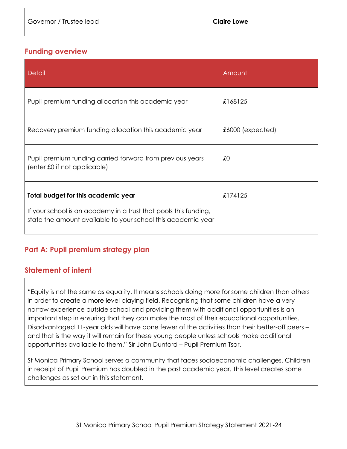#### **Funding overview**

| <b>Detail</b>                                                                                                                                                           | Amount             |
|-------------------------------------------------------------------------------------------------------------------------------------------------------------------------|--------------------|
| Pupil premium funding allocation this academic year                                                                                                                     | £168125            |
| Recovery premium funding allocation this academic year                                                                                                                  | $£6000$ (expected) |
| Pupil premium funding carried forward from previous years<br>(enter £0 if not applicable)                                                                               | £0                 |
| Total budget for this academic year<br>If your school is an academy in a trust that pools this funding,<br>state the amount available to your school this academic year | £174125            |

# **Part A: Pupil premium strategy plan**

#### **Statement of intent**

"Equity is not the same as equality. It means schools doing more for some children than others in order to create a more level playing field. Recognising that some children have a very narrow experience outside school and providing them with additional opportunities is an important step in ensuring that they can make the most of their educational opportunities. Disadvantaged 11-year olds will have done fewer of the activities than their better-off peers – and that is the way it will remain for these young people unless schools make additional opportunities available to them." Sir John Dunford – Pupil Premium Tsar.

St Monica Primary School serves a community that faces socioeconomic challenges. Children in receipt of Pupil Premium has doubled in the past academic year. This level creates some challenges as set out in this statement.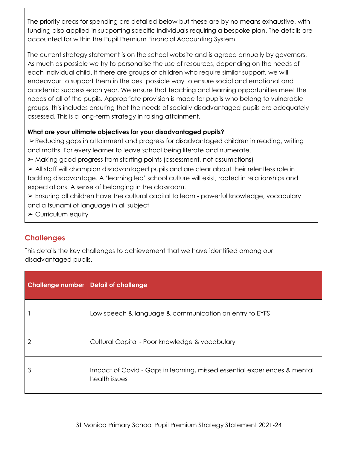The priority areas for spending are detailed below but these are by no means exhaustive, with funding also applied in supporting specific individuals requiring a bespoke plan. The details are accounted for within the Pupil Premium Financial Accounting System.

The current strategy statement is on the school website and is agreed annually by governors. As much as possible we try to personalise the use of resources, depending on the needs of each individual child. If there are groups of children who require similar support, we will endeavour to support them in the best possible way to ensure social and emotional and academic success each year. We ensure that teaching and learning opportunities meet the needs of all of the pupils. Appropriate provision is made for pupils who belong to vulnerable groups, this includes ensuring that the needs of socially disadvantaged pupils are adequately assessed. This is a long-term strategy in raising attainment.

#### **What are your ultimate objectives for your disadvantaged pupils?**

➢Reducing gaps in attainment and progress for disadvantaged children in reading, writing and maths. For every learner to leave school being literate and numerate.

➢ Making good progress from starting points (assessment, not assumptions)

➢ All staff will champion disadvantaged pupils and are clear about their relentless role in tackling disadvantage. A 'learning led' school culture will exist, rooted in relationships and expectations. A sense of belonging in the classroom.

➢ Ensuring all children have the cultural capital to learn - powerful knowledge, vocabulary and a tsunami of language in all subject

➢ Curriculum equity

# **Challenges**

This details the key challenges to achievement that we have identified among our disadvantaged pupils.

| <b>Challenge number Detail of challenge</b> |                                                                                            |
|---------------------------------------------|--------------------------------------------------------------------------------------------|
|                                             | Low speech & language & communication on entry to EYFS                                     |
| 2                                           | Cultural Capital - Poor knowledge & vocabulary                                             |
| 3                                           | Impact of Covid - Gaps in learning, missed essential experiences & mental<br>health issues |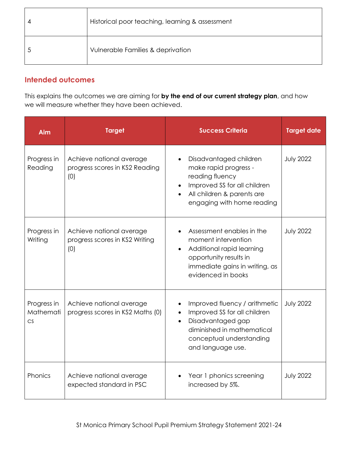| Historical poor teaching, learning & assessment |
|-------------------------------------------------|
| Vulnerable Families & deprivation               |

# **Intended outcomes**

This explains the outcomes we are aiming for **by the end of our current strategy plan**, and how we will measure whether they have been achieved.

| Aim                            | <b>Target</b>                                                     | <b>Success Criteria</b>                                                                                                                                                        | <b>Target date</b> |
|--------------------------------|-------------------------------------------------------------------|--------------------------------------------------------------------------------------------------------------------------------------------------------------------------------|--------------------|
| Progress in<br>Reading         | Achieve national average<br>progress scores in KS2 Reading<br>(0) | Disadvantaged children<br>$\bullet$<br>make rapid progress -<br>reading fluency<br>Improved SS for all children<br>All children & parents are<br>engaging with home reading    | <b>July 2022</b>   |
| Progress in<br>Writing         | Achieve national average<br>progress scores in KS2 Writing<br>(0) | Assessment enables in the<br>moment intervention<br>Additional rapid learning<br>$\bullet$<br>opportunity results in<br>immediate gains in writing, as<br>evidenced in books   | <b>July 2022</b>   |
| Progress in<br>Mathemati<br>CS | Achieve national average<br>progress scores in KS2 Maths (0)      | Improved fluency / arithmetic<br>Improved SS for all children<br>Disadvantaged gap<br>$\bullet$<br>diminished in mathematical<br>conceptual understanding<br>and language use. | <b>July 2022</b>   |
| Phonics                        | Achieve national average<br>expected standard in PSC              | Year 1 phonics screening<br>increased by 5%.                                                                                                                                   | <b>July 2022</b>   |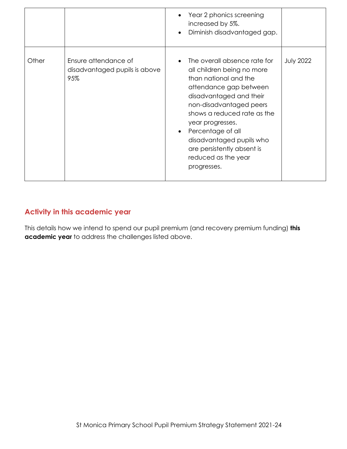|       |                                                              | Year 2 phonics screening<br>increased by 5%.<br>Diminish disadvantaged gap.<br>$\bullet$                                                                                                                                                                                                                                                                              |                  |
|-------|--------------------------------------------------------------|-----------------------------------------------------------------------------------------------------------------------------------------------------------------------------------------------------------------------------------------------------------------------------------------------------------------------------------------------------------------------|------------------|
| Other | Ensure attendance of<br>disadvantaged pupils is above<br>95% | The overall absence rate for<br>$\bullet$<br>all children being no more<br>than national and the<br>attendance gap between<br>disadvantaged and their<br>non-disadvantaged peers<br>shows a reduced rate as the<br>year progresses.<br>Percentage of all<br>$\bullet$<br>disadvantaged pupils who<br>are persistently absent is<br>reduced as the year<br>progresses. | <b>July 2022</b> |

### **Activity in this academic year**

This details how we intend to spend our pupil premium (and recovery premium funding) **this academic year** to address the challenges listed above.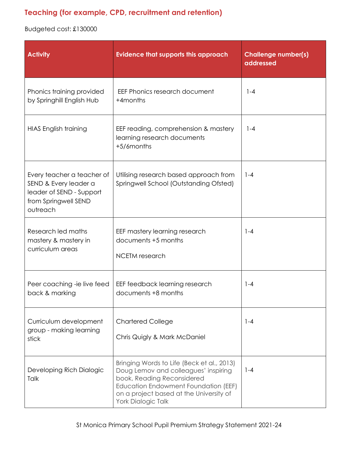# **Teaching (for example, CPD, recruitment and retention)**

Budgeted cost: £130000

| <b>Activity</b>                                                                                                     | <b>Evidence that supports this approach</b>                                                                                                                                                                               | <b>Challenge number(s)</b><br>addressed |
|---------------------------------------------------------------------------------------------------------------------|---------------------------------------------------------------------------------------------------------------------------------------------------------------------------------------------------------------------------|-----------------------------------------|
| Phonics training provided<br>by Springhill English Hub                                                              | EEF Phonics research document<br>+4months                                                                                                                                                                                 | $1 - 4$                                 |
| <b>HIAS English training</b>                                                                                        | EEF reading, comprehension & mastery<br>learning research documents<br>+5/6months                                                                                                                                         | $1 - 4$                                 |
| Every teacher a teacher of<br>SEND & Every leader a<br>leader of SEND - Support<br>from Springwell SEND<br>outreach | Utilising research based approach from<br>Springwell School (Outstanding Ofsted)                                                                                                                                          | $1 - 4$                                 |
| Research led maths<br>mastery & mastery in<br>curriculum areas                                                      | EEF mastery learning research<br>documents +5 months<br><b>NCETM</b> research                                                                                                                                             | $1 - 4$                                 |
| Peer coaching -ie live feed<br>back & marking                                                                       | EEF feedback learning research<br>documents +8 months                                                                                                                                                                     | $1 - 4$                                 |
| Curriculum development<br>group - making learning<br>stick                                                          | <b>Chartered College</b><br>Chris Quigly & Mark McDaniel                                                                                                                                                                  | $1 - 4$                                 |
| Developing Rich Dialogic<br>Talk                                                                                    | Bringing Words to Life (Beck et al., 2013)<br>Doug Lemov and colleagues' inspiring<br>book, Reading Reconsidered<br>Education Endowment Foundation (EEF)<br>on a project based at the University of<br>York Dialogic Talk | $1 - 4$                                 |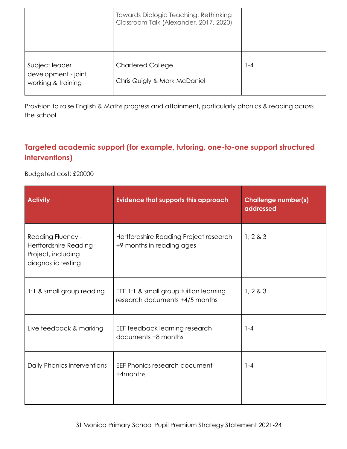|                                                             | <b>Towards Dialogic Teaching: Rethinking</b><br>Classroom Talk (Alexander, 2017, 2020) |     |
|-------------------------------------------------------------|----------------------------------------------------------------------------------------|-----|
| Subject leader<br>development - joint<br>working & training | <b>Chartered College</b><br>Chris Quigly & Mark McDaniel                               | 1-4 |

Provision to raise English & Maths progress and attainment, particularly phonics & reading across the school

# **Targeted academic support (for example, tutoring, one-to-one support structured interventions)**

Budgeted cost: £20000

| <b>Activity</b>                                                                                      | <b>Evidence that supports this approach</b>                              | <b>Challenge number(s)</b><br>addressed |
|------------------------------------------------------------------------------------------------------|--------------------------------------------------------------------------|-----------------------------------------|
| <b>Reading Fluency -</b><br><b>Hertfordshire Reading</b><br>Project, including<br>diagnostic testing | Hertfordshire Reading Project research<br>+9 months in reading ages      | 1, 2 & 3                                |
| 1:1 & small group reading                                                                            | EEF 1:1 & small group tuition learning<br>research documents +4/5 months | 1, 2 & 3                                |
| Live feedback & marking                                                                              | EEF feedback learning research<br>documents +8 months                    | $1 - 4$                                 |
| Daily Phonics interventions                                                                          | EEF Phonics research document<br>+4months                                | $1 - 4$                                 |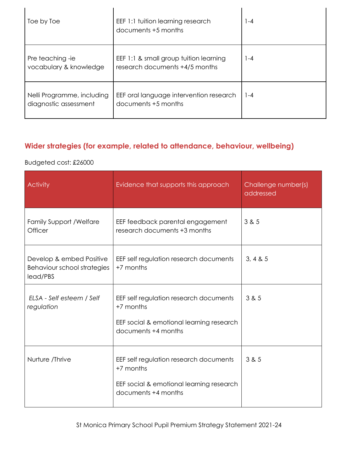| Toe by Toe                                          | EEF 1:1 tuition learning research<br>documents +5 months                 | $ -4$ |
|-----------------------------------------------------|--------------------------------------------------------------------------|-------|
| Pre teaching -ie<br>vocabulary & knowledge          | EEF 1:1 & small group tuition learning<br>research documents +4/5 months | 1-4   |
| Nelli Programme, including<br>diagnostic assessment | EEF oral language intervention research<br>documents +5 months           | 1-4   |

# **Wider strategies (for example, related to attendance, behaviour, wellbeing)**

### Budgeted cost: £26000

| <b>Activity</b>                                                     | Evidence that supports this approach                                                                                   | Challenge number(s)<br>addressed |
|---------------------------------------------------------------------|------------------------------------------------------------------------------------------------------------------------|----------------------------------|
| <b>Family Support / Welfare</b><br>Officer                          | EEF feedback parental engagement<br>research documents +3 months                                                       | 3 & 5                            |
| Develop & embed Positive<br>Behaviour school strategies<br>lead/PBS | EEF self regulation research documents<br>+7 months                                                                    | 3, 4 & 5                         |
| ELSA - Self esteem / Self<br>regulation                             | EEF self regulation research documents<br>+7 months<br>EEF social & emotional learning research<br>documents +4 months | 3 & 5                            |
| Nurture /Thrive                                                     | EEF self regulation research documents<br>+7 months<br>EEF social & emotional learning research<br>documents +4 months | 3 & 5                            |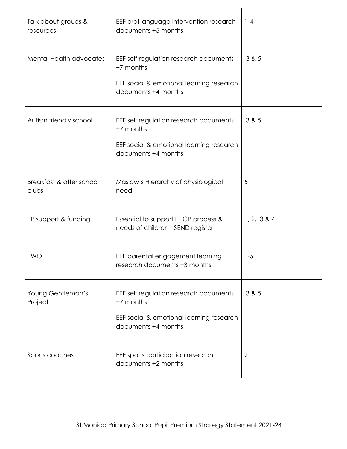| Talk about groups &<br>resources  | EEF oral language intervention research<br>documents +5 months                                                         | $1 - 4$        |
|-----------------------------------|------------------------------------------------------------------------------------------------------------------------|----------------|
| <b>Mental Health advocates</b>    | EEF self regulation research documents<br>+7 months<br>EEF social & emotional learning research<br>documents +4 months | 3 & 5          |
| Autism friendly school            | EEF self regulation research documents<br>+7 months<br>EEF social & emotional learning research<br>documents +4 months | 3 & 5          |
| Breakfast & after school<br>clubs | Maslow's Hierarchy of physiological<br>need                                                                            | 5              |
| EP support & funding              | Essential to support EHCP process &<br>needs of children - SEND register                                               | 1, 2, 3 & 4    |
| <b>EWO</b>                        | EEF parental engagement learning<br>research documents +3 months                                                       | $1 - 5$        |
| Young Gentleman's<br>Project      | EEF self regulation research documents<br>+7 months<br>EEF social & emotional learning research<br>documents +4 months | 3 & 5          |
| Sports coaches                    | EEF sports participation research<br>documents +2 months                                                               | $\overline{2}$ |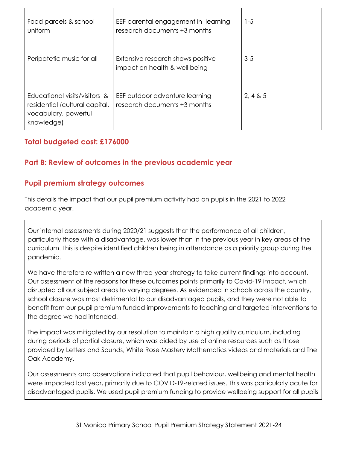| Food parcels & school<br>uniform                                                                      | EEF parental engagement in learning<br>research documents +3 months | $1 - 5$  |
|-------------------------------------------------------------------------------------------------------|---------------------------------------------------------------------|----------|
| Peripatetic music for all                                                                             | Extensive research shows positive<br>impact on health & well being  | $3 - 5$  |
| Educational visits/visitors &<br>residential (cultural capital,<br>vocabulary, powerful<br>knowledge) | EEF outdoor adventure learning<br>research documents +3 months      | 2, 4 & 5 |

### **Total budgeted cost: £176000**

### **Part B: Review of outcomes in the previous academic year**

### **Pupil premium strategy outcomes**

This details the impact that our pupil premium activity had on pupils in the 2021 to 2022 academic year.

Our internal assessments during 2020/21 suggests that the performance of all children, particularly those with a disadvantage, was lower than in the previous year in key areas of the curriculum. This is despite identified children being in attendance as a priority group during the pandemic.

We have therefore re written a new three-year-strategy to take current findings into account. Our assessment of the reasons for these outcomes points primarily to Covid-19 impact, which disrupted all our subject areas to varying degrees. As evidenced in schools across the country, school closure was most detrimental to our disadvantaged pupils, and they were not able to benefit from our pupil premium funded improvements to teaching and targeted interventions to the degree we had intended.

The impact was mitigated by our resolution to maintain a high quality curriculum, including during periods of partial closure, which was aided by use of online resources such as those provided by Letters and Sounds, White Rose Mastery Mathematics videos and materials and The Oak Academy.

Our assessments and observations indicated that pupil behaviour, wellbeing and mental health were impacted last year, primarily due to COVID-19-related issues. This was particularly acute for disadvantaged pupils. We used pupil premium funding to provide wellbeing support for all pupils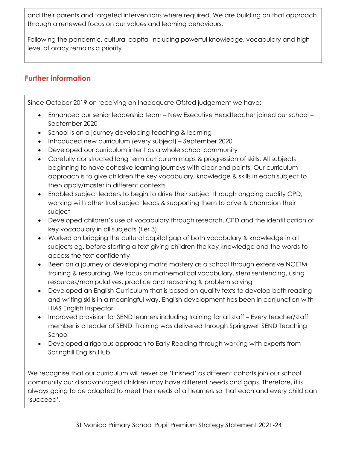and their parents and targeted interventions where required. We are building on that approach through a renewed focus on our values and learning behaviours.

Following the pandemic, cultural capital including powerful knowledge, vocabulary and high level of oracy remains a priority

## **Further information**

Since October 2019 on receiving an Inadequate Ofsted judgement we have:

- Enhanced our senior leadership team New Executive Headteacher joined our school September 2020
- School is on a journey developing teaching & learning
- Introduced new curriculum (every subject) September 2020
- Developed our curriculum intent as a whole school community
- Carefully constructed long term curriculum maps & progression of skills. All subjects beginning to have cohesive learning journeys with clear end points. Our curriculum approach is to give children the key vocabulary, knowledge & skills in each subject to then apply/master in different contexts
- Enabled subject leaders to begin to drive their subject through ongoing quality CPD, working with other trust subject leads & supporting them to drive & champion their subject
- Developed children's use of vocabulary through research, CPD and the identification of key vocabulary in all subjects (tier 3)
- Worked on bridging the cultural capital gap of both vocabulary & knowledge in all subjects eg. before starting a text giving children the key knowledge and the words to access the text confidently
- Been on a journey of developing maths mastery as a school through extensive NCETM training & resourcing. We focus on mathematical vocabulary, stem sentencing, using resources/manipulatives, practice and reasoning & problem solving
- Developed an English Curriculum that is based on quality texts to develop both reading and writing skills in a meaningful way. English development has been in conjunction with HIAS English Inspector
- Improved provision for SEND learners including training for all staff Every teacher/staff member is a leader of SEND. Training was delivered through Springwell SEND Teaching School
- Developed a rigorous approach to Early Reading through working with experts from Springhill English Hub

We recognise that our curriculum will never be 'finished' as different cohorts join our school community our disadvantaged children may have different needs and gaps. Therefore, it is always going to be adapted to meet the needs of all learners so that each and every child can 'succeed'.